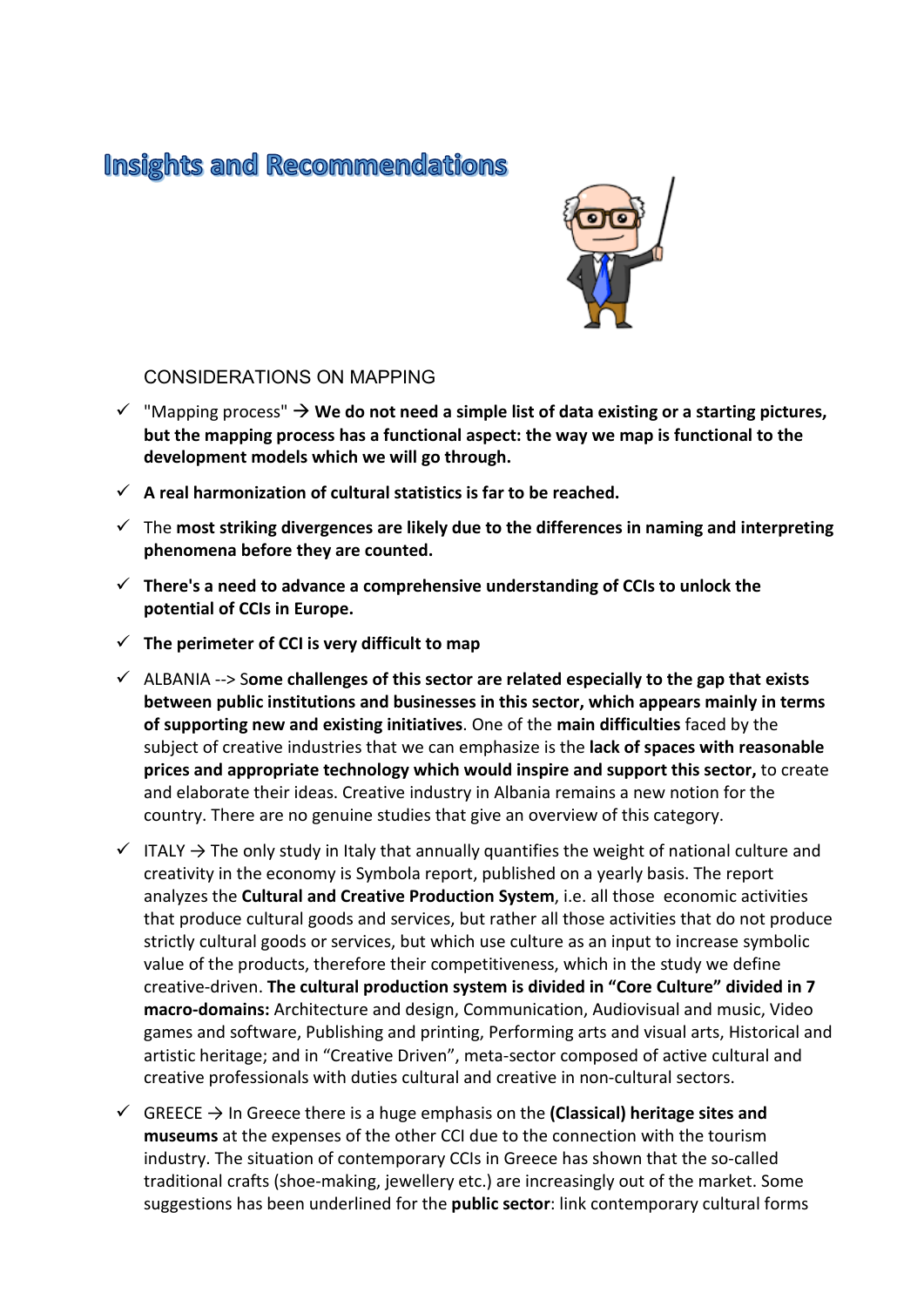# **Insights and Recommendations**



## CONSIDERATIONS ON MAPPING

- $\checkmark$  "Mapping process"  $\hat{\to}$  We do not need a simple list of data existing or a starting pictures, **but the mapping process has a functional aspect: the way we map is functional to the development models which we will go through.**
- $\checkmark$  A real harmonization of cultural statistics is far to be reached.
- The **most striking divergences are likely due to the differences in naming and interpreting phenomena before they are counted.**
- **There's a need to advance a comprehensive understanding of CCIs to unlock the potential of CCIs in Europe.**
- $\checkmark$  The perimeter of CCI is very difficult to map
- ALBANIA --> S**ome challenges of this sector are related especially to the gap that exists between public institutions and businesses in this sector, which appears mainly in terms of supporting new and existing initiatives**. One of the **main difficulties** faced by the subject of creative industries that we can emphasize is the **lack of spaces with reasonable prices and appropriate technology which would inspire and support this sector,** to create and elaborate their ideas. Creative industry in Albania remains a new notion for the country. There are no genuine studies that give an overview of this category.
- $\checkmark$  ITALY  $\to$  The only study in Italy that annually quantifies the weight of national culture and creativity in the economy is Symbola report, published on a yearly basis. The report analyzes the **Cultural and Creative Production System**, i.e. all those economic activities that produce cultural goods and services, but rather all those activities that do not produce strictly cultural goods or services, but which use culture as an input to increase symbolic value of the products, therefore their competitiveness, which in the study we define creative-driven. **The cultural production system is divided in "Core Culture" divided in 7 macro-domains:** Architecture and design, Communication, Audiovisual and music, Video games and software, Publishing and printing, Performing arts and visual arts, Historical and artistic heritage; and in "Creative Driven", meta-sector composed of active cultural and creative professionals with duties cultural and creative in non-cultural sectors.
- $\checkmark$  GREECE  $\hat{\to}$  In Greece there is a huge emphasis on the (Classical) heritage sites and **museums** at the expenses of the other CCI due to the connection with the tourism industry. The situation of contemporary CCIs in Greece has shown that the so-called traditional crafts (shoe-making, jewellery etc.) are increasingly out of the market. Some suggestions has been underlined for the **public sector**: link contemporary cultural forms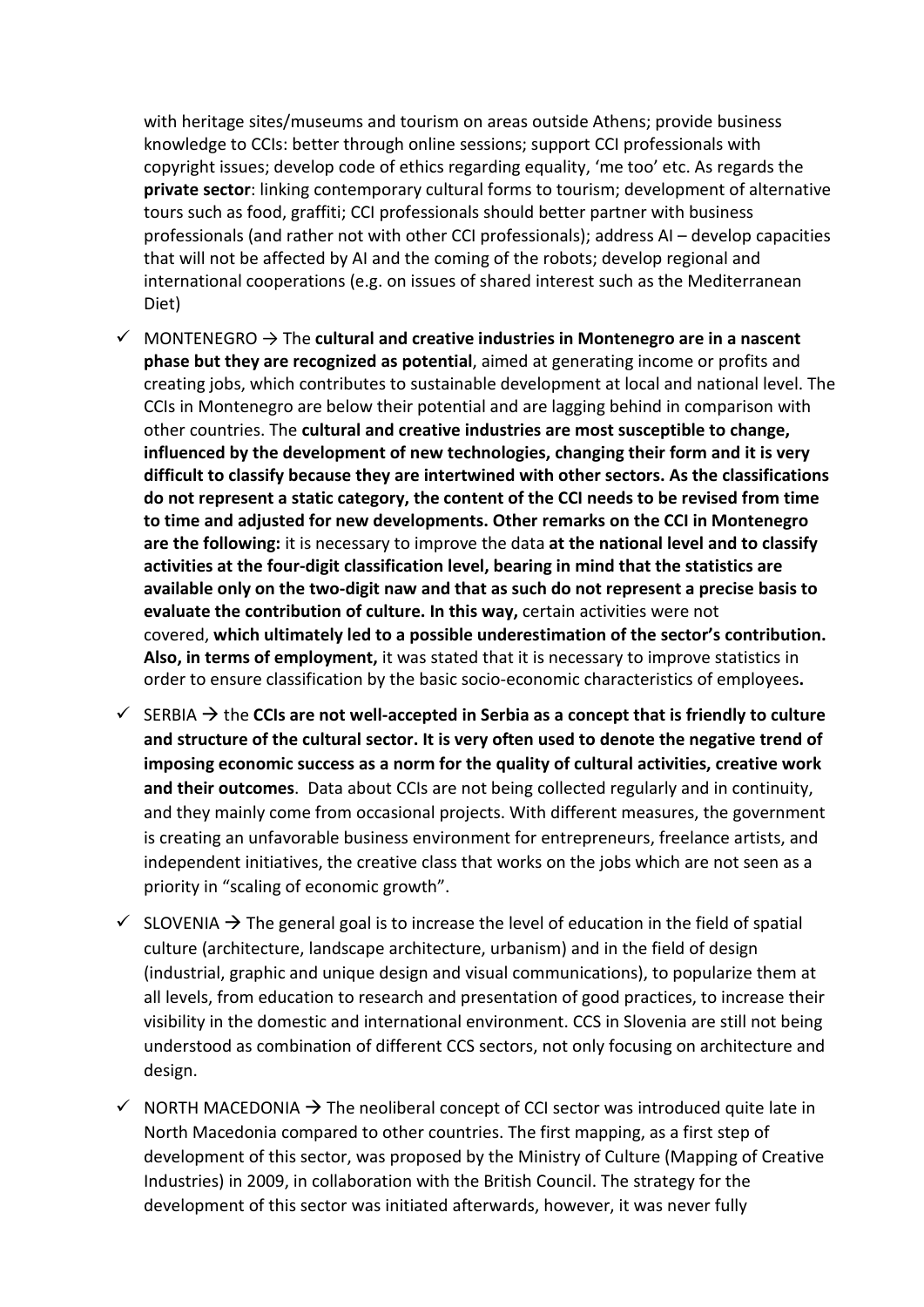with heritage sites/museums and tourism on areas outside Athens; provide business knowledge to CCIs: better through online sessions; support CCI professionals with copyright issues; develop code of ethics regarding equality, 'me too' etc. As regards the **private sector**: linking contemporary cultural forms to tourism; development of alternative tours such as food, graffiti; CCI professionals should better partner with business professionals (and rather not with other CCI professionals); address AI – develop capacities that will not be affected by AI and the coming of the robots; develop regional and international cooperations (e.g. on issues of shared interest such as the Mediterranean Diet)

- $\checkmark$  MONTENEGRO  $\to$  The cultural and creative industries in Montenegro are in a nascent **phase but they are recognized as potential**, aimed at generating income or profits and creating jobs, which contributes to sustainable development at local and national level. The CCIs in Montenegro are below their potential and are lagging behind in comparison with other countries. The **cultural and creative industries are most susceptible to change, influenced by the development of new technologies, changing their form and it is very difficult to classify because they are intertwined with other sectors. As the classifications do not represent a static category, the content of the CCI needs to be revised from time to time and adjusted for new developments. Other remarks on the CCI in Montenegro are the following:** it is necessary to improve the data **at the national level and to classify activities at the four-digit classification level, bearing in mind that the statistics are available only on the two-digit naw and that as such do not represent a precise basis to evaluate the contribution of culture. In this way,** certain activities were not covered, **which ultimately led to a possible underestimation of the sector's contribution. Also, in terms of employment,** it was stated that it is necessary to improve statistics in order to ensure classification by the basic socio-economic characteristics of employees**.**
- $\checkmark$  SERBIA  $\hat{\to}$  the CCIs are not well-accepted in Serbia as a concept that is friendly to culture **and structure of the cultural sector. It is very often used to denote the negative trend of imposing economic success as a norm for the quality of cultural activities, creative work and their outcomes**. Data about CCIs are not being collected regularly and in continuity, and they mainly come from occasional projects. With different measures, the government is creating an unfavorable business environment for entrepreneurs, freelance artists, and independent initiatives, the creative class that works on the jobs which are not seen as a priority in "scaling of economic growth".
- $\checkmark$  SLOVENIA  $\hat{\to}$  The general goal is to increase the level of education in the field of spatial culture (architecture, landscape architecture, urbanism) and in the field of design (industrial, graphic and unique design and visual communications), to popularize them at all levels, from education to research and presentation of good practices, to increase their visibility in the domestic and international environment. CCS in Slovenia are still not being understood as combination of different CCS sectors, not only focusing on architecture and design.
- $\checkmark$  NORTH MACEDONIA  $\hat{\to}$  The neoliberal concept of CCI sector was introduced quite late in North Macedonia compared to other countries. The first mapping, as a first step of development of this sector, was proposed by the Ministry of Culture (Mapping of Creative Industries) in 2009, in collaboration with the British Council. The strategy for the development of this sector was initiated afterwards, however, it was never fully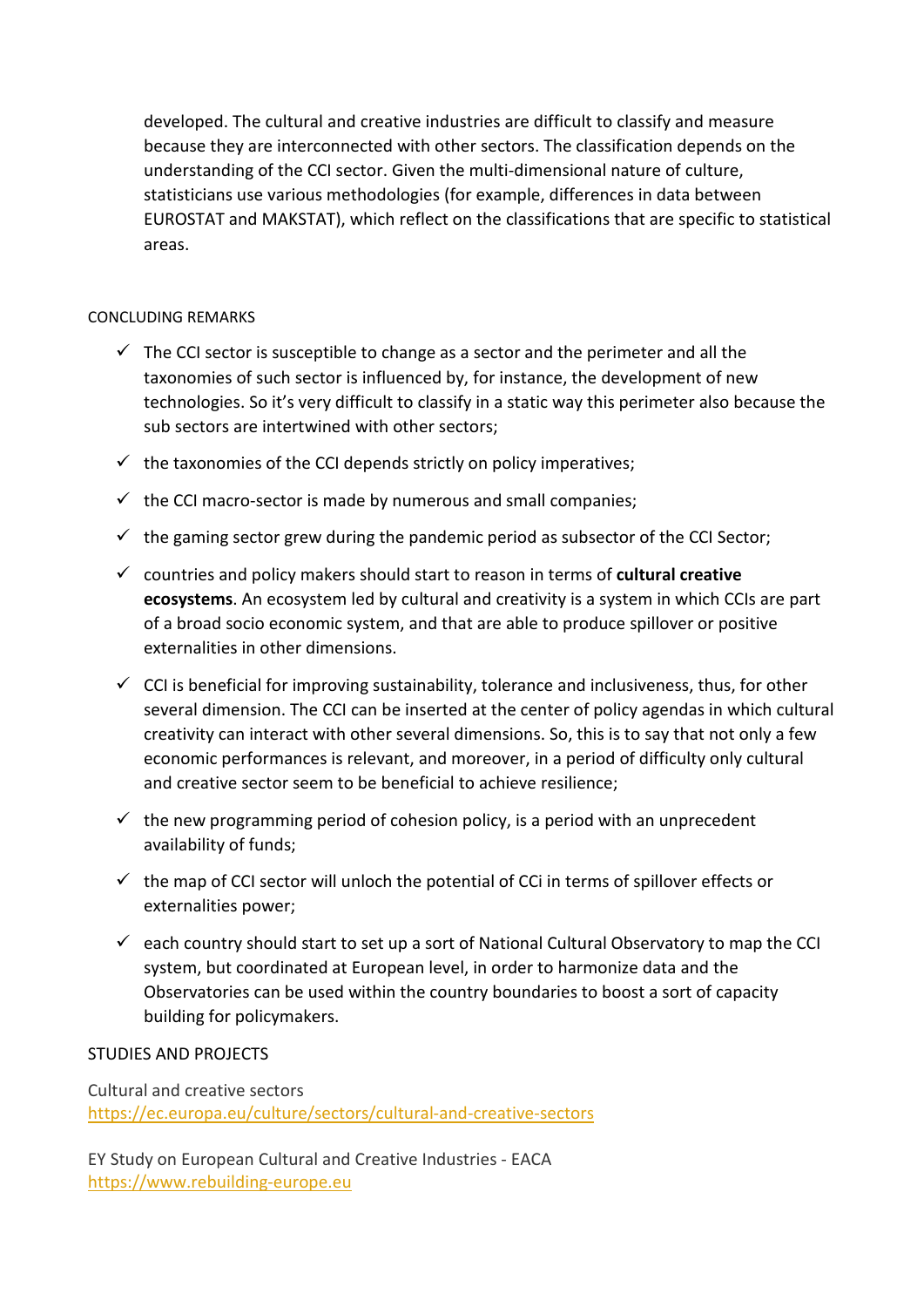developed. The cultural and creative industries are difficult to classify and measure because they are interconnected with other sectors. The classification depends on the understanding of the CCI sector. Given the multi-dimensional nature of culture, statisticians use various methodologies (for example, differences in data between EUROSTAT and MAKSTAT), which reflect on the classifications that are specific to statistical areas.

## CONCLUDING REMARKS

- $\checkmark$  The CCI sector is susceptible to change as a sector and the perimeter and all the taxonomies of such sector is influenced by, for instance, the development of new technologies. So it's very difficult to classify in a static way this perimeter also because the sub sectors are intertwined with other sectors;
- $\checkmark$  the taxonomies of the CCI depends strictly on policy imperatives;
- $\checkmark$  the CCI macro-sector is made by numerous and small companies;
- $\checkmark$  the gaming sector grew during the pandemic period as subsector of the CCI Sector;
- countries and policy makers should start to reason in terms of **cultural creative ecosystems**. An ecosystem led by cultural and creativity is a system in which CCIs are part of a broad socio economic system, and that are able to produce spillover or positive externalities in other dimensions.
- $\checkmark$  CCI is beneficial for improving sustainability, tolerance and inclusiveness, thus, for other several dimension. The CCI can be inserted at the center of policy agendas in which cultural creativity can interact with other several dimensions. So, this is to say that not only a few economic performances is relevant, and moreover, in a period of difficulty only cultural and creative sector seem to be beneficial to achieve resilience;
- $\checkmark$  the new programming period of cohesion policy, is a period with an unprecedent availability of funds;
- $\checkmark$  the map of CCI sector will unloch the potential of CCi in terms of spillover effects or externalities power;
- $\checkmark$  each country should start to set up a sort of National Cultural Observatory to map the CCI system, but coordinated at European level, in order to harmonize data and the Observatories can be used within the country boundaries to boost a sort of capacity building for policymakers.

## STUDIES AND PROJECTS

Cultural and creative sectors <https://ec.europa.eu/culture/sectors/cultural-and-creative-sectors>

EY Study on European Cultural and Creative Industries - EACA [https://www.rebuilding-europe.eu](https://www.rebuilding-europe.eu/)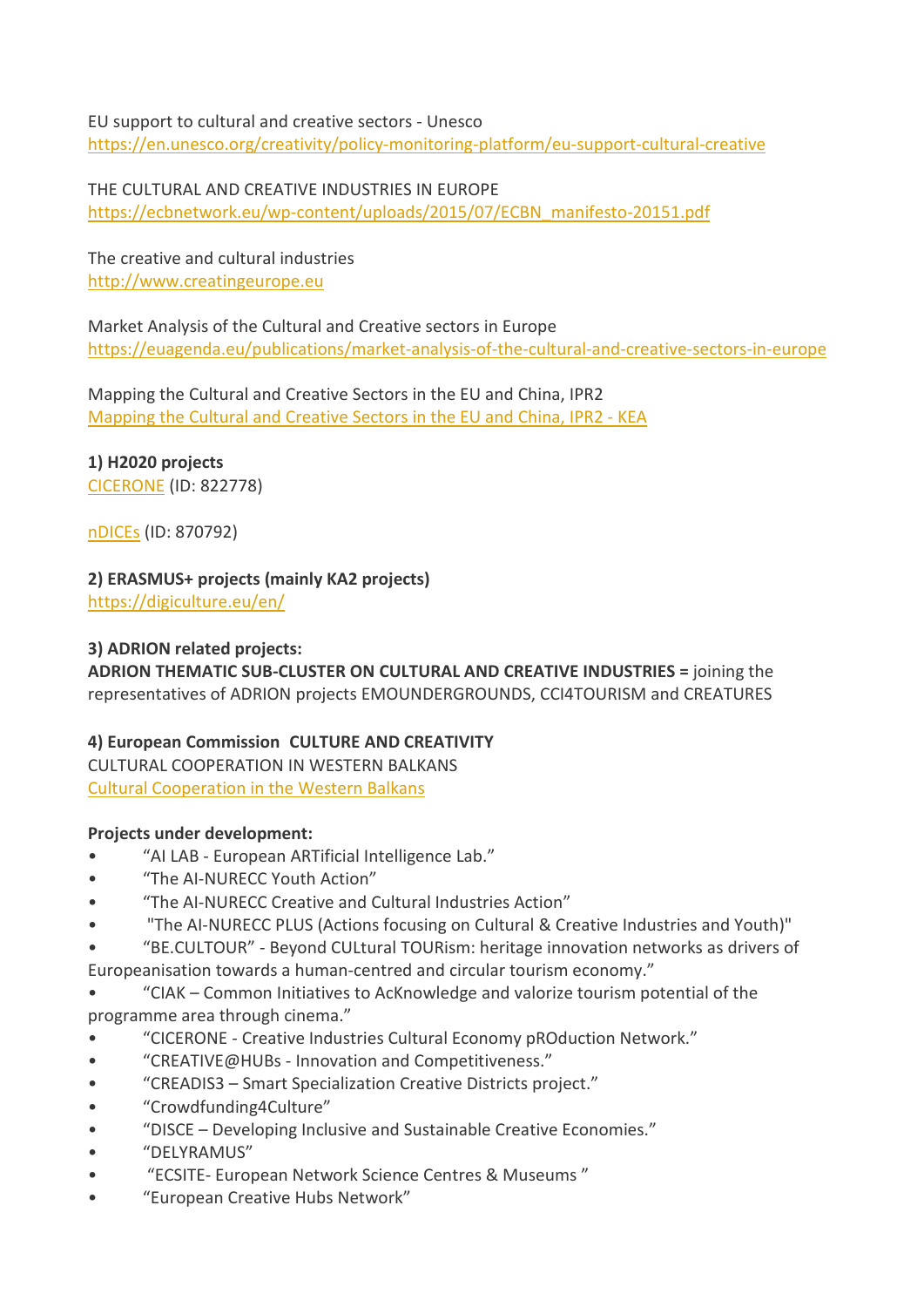#### EU support to cultural and creative sectors - Unesco

<https://en.unesco.org/creativity/policy-monitoring-platform/eu-support-cultural-creative>

THE CULTURAL AND CREATIVE INDUSTRIES IN EUROPE [https://ecbnetwork.eu/wp-content/uploads/2015/07/ECBN\\_manifesto-20151.pdf](https://ecbnetwork.eu/wp-content/uploads/2015/07/ECBN_manifesto-20151.pdf)

The creative and cultural industries [http://www.creatingeurope.eu](http://www.creatingeurope.eu/)

Market Analysis of the Cultural and Creative sectors in Europe <https://euagenda.eu/publications/market-analysis-of-the-cultural-and-creative-sectors-in-europe>

Mapping the Cultural and Creative Sectors in the EU and China, IPR2 [Mapping the Cultural and Creative Sectors in the EU and China, IPR2 -](https://keanet.eu/publications/mapping-the-cultural-and-creative-sectors-in-the-eu-and-china-ipr2-china-ministry-of-commerce-european-commissionencn/) KEA

**1) H2020 projects**

[CICERONE](https://cordis.europa.eu/project/id/822778) (ID: 822778)

[nDICEs](https://cordis.europa.eu/project/id/870792) (ID: 870792)

**2) ERASMUS+ projects (mainly KA2 projects)**

<https://digiculture.eu/en/>

## **3) ADRION related projects:**

**ADRION THEMATIC SUB-CLUSTER ON CULTURAL AND CREATIVE INDUSTRIES =** joining the representatives of ADRION projects EMOUNDERGROUNDS, CCI4TOURISM and CREATURES

## **4) European Commission CULTURE AND CREATIVITY**

CULTURAL COOPERATION IN WESTERN BALKANS [Cultural Cooperation in the Western Balkans](https://coopwb.cultureinexternalrelations.eu/)

## **Projects under development:**

- "AI LAB European ARTificial Intelligence Lab."
- "The AI-NURECC Youth Action"
- "The AI-NURECC Creative and Cultural Industries Action"
- "The AI-NURECC PLUS (Actions focusing on Cultural & Creative Industries and Youth)"

• "BE.CULTOUR" - Beyond CULtural TOURism: heritage innovation networks as drivers of Europeanisation towards a human-centred and circular tourism economy."

• "CIAK – Common Initiatives to AcKnowledge and valorize tourism potential of the programme area through cinema."

- "CICERONE Creative Industries Cultural Economy pROduction Network."
- "CREATIVE@HUBs Innovation and Competitiveness."
- "CREADIS3 Smart Specialization Creative Districts project."
- "Crowdfunding4Culture"
- "DISCE Developing Inclusive and Sustainable Creative Economies."
- "DELYRAMUS"
- "ECSITE- European Network Science Centres & Museums "
- "European Creative Hubs Network"